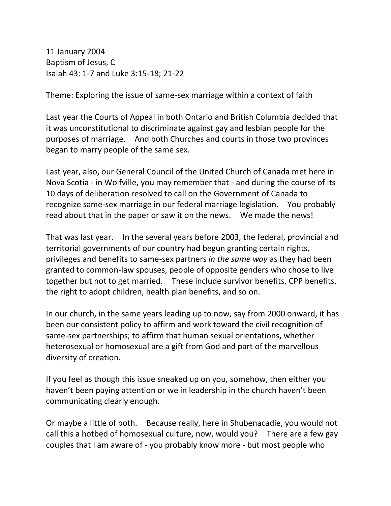11 January 2004 Baptism of Jesus, C Isaiah 43: 1-7 and Luke 3:15-18; 21-22

Theme: Exploring the issue of same-sex marriage within a context of faith

Last year the Courts of Appeal in both Ontario and British Columbia decided that it was unconstitutional to discriminate against gay and lesbian people for the purposes of marriage. And both Churches and courts in those two provinces began to marry people of the same sex.

Last year, also, our General Council of the United Church of Canada met here in Nova Scotia - in Wolfville, you may remember that - and during the course of its 10 days of deliberation resolved to call on the Government of Canada to recognize same-sex marriage in our federal marriage legislation. You probably read about that in the paper or saw it on the news. We made the news!

That was last year. In the several years before 2003, the federal, provincial and territorial governments of our country had begun granting certain rights, privileges and benefits to same-sex partners *in the same way* as they had been granted to common-law spouses, people of opposite genders who chose to live together but not to get married. These include survivor benefits, CPP benefits, the right to adopt children, health plan benefits, and so on.

In our church, in the same years leading up to now, say from 2000 onward, it has been our consistent policy to affirm and work toward the civil recognition of same-sex partnerships; to affirm that human sexual orientations, whether heterosexual or homosexual are a gift from God and part of the marvellous diversity of creation.

If you feel as though this issue sneaked up on you, somehow, then either you haven't been paying attention or we in leadership in the church haven't been communicating clearly enough.

Or maybe a little of both. Because really, here in Shubenacadie, you would not call this a hotbed of homosexual culture, now, would you? There are a few gay couples that I am aware of - you probably know more - but most people who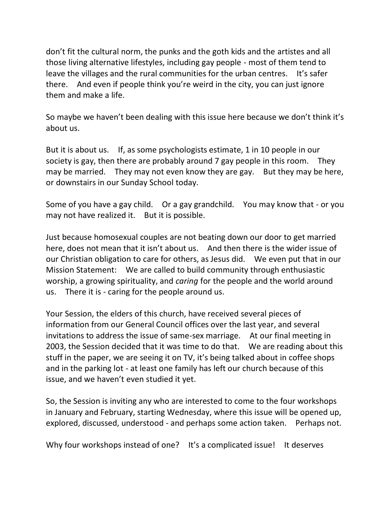don't fit the cultural norm, the punks and the goth kids and the artistes and all those living alternative lifestyles, including gay people - most of them tend to leave the villages and the rural communities for the urban centres. It's safer there. And even if people think you're weird in the city, you can just ignore them and make a life.

So maybe we haven't been dealing with this issue here because we don't think it's about us.

But it is about us. If, as some psychologists estimate, 1 in 10 people in our society is gay, then there are probably around 7 gay people in this room. They may be married. They may not even know they are gay. But they may be here, or downstairs in our Sunday School today.

Some of you have a gay child. Or a gay grandchild. You may know that - or you may not have realized it. But it is possible.

Just because homosexual couples are not beating down our door to get married here, does not mean that it isn't about us. And then there is the wider issue of our Christian obligation to care for others, as Jesus did. We even put that in our Mission Statement: We are called to build community through enthusiastic worship, a growing spirituality, and *caring* for the people and the world around us. There it is - caring for the people around us.

Your Session, the elders of this church, have received several pieces of information from our General Council offices over the last year, and several invitations to address the issue of same-sex marriage. At our final meeting in 2003, the Session decided that it was time to do that. We are reading about this stuff in the paper, we are seeing it on TV, it's being talked about in coffee shops and in the parking lot - at least one family has left our church because of this issue, and we haven't even studied it yet.

So, the Session is inviting any who are interested to come to the four workshops in January and February, starting Wednesday, where this issue will be opened up, explored, discussed, understood - and perhaps some action taken. Perhaps not.

Why four workshops instead of one? It's a complicated issue! It deserves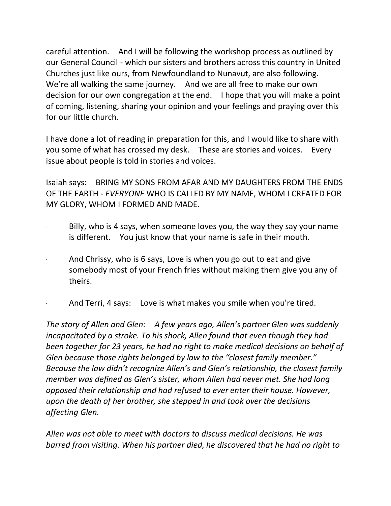careful attention. And I will be following the workshop process as outlined by our General Council - which our sisters and brothers across this country in United Churches just like ours, from Newfoundland to Nunavut, are also following. We're all walking the same journey. And we are all free to make our own decision for our own congregation at the end. I hope that you will make a point of coming, listening, sharing your opinion and your feelings and praying over this for our little church.

I have done a lot of reading in preparation for this, and I would like to share with you some of what has crossed my desk. These are stories and voices. Every issue about people is told in stories and voices.

Isaiah says: BRING MY SONS FROM AFAR AND MY DAUGHTERS FROM THE ENDS OF THE EARTH - *EVERYONE* WHO IS CALLED BY MY NAME, WHOM I CREATED FOR MY GLORY, WHOM I FORMED AND MADE.

- Billy, who is 4 says, when someone loves you, the way they say your name is different. You just know that your name is safe in their mouth.
- And Chrissy, who is 6 says, Love is when you go out to eat and give somebody most of your French fries without making them give you any of theirs.
- And Terri, 4 says: Love is what makes you smile when you're tired.

*The story of Allen and Glen: A few years ago, Allen's partner Glen was suddenly incapacitated by a stroke. To his shock, Allen found that even though they had been together for 23 years, he had no right to make medical decisions on behalf of Glen because those rights belonged by law to the "closest family member." Because the law didn't recognize Allen's and Glen's relationship, the closest family member was defined as Glen's sister, whom Allen had never met. She had long opposed their relationship and had refused to ever enter their house. However, upon the death of her brother, she stepped in and took over the decisions affecting Glen.*

*Allen was not able to meet with doctors to discuss medical decisions. He was barred from visiting. When his partner died, he discovered that he had no right to*